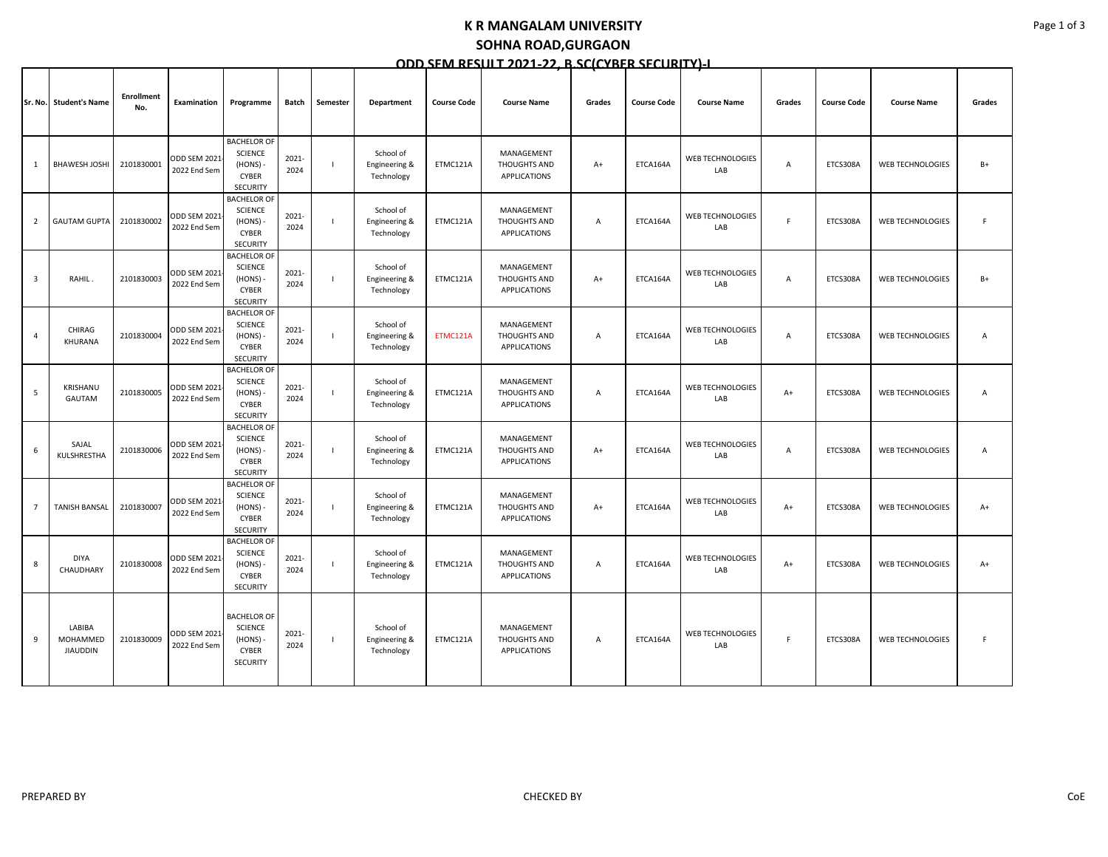#### **K R MANGALAM UNIVERSITY**

# **SOHNA ROAD,GURGAON**

## **ODD SEM RESULT 2021-22, B.SC(CYBER SECURITY)-I**

|                | Sr. No. Student's Name                | <b>Enrollment</b><br>No. | Examination                         | Programme                                                                             | Batch            | Semester | Department                               | <b>Course Code</b> | <b>Course Name</b>                                | Grades         | <b>Course Code</b> | <b>Course Name</b>             | Grades | <b>Course Code</b> | <b>Course Name</b>      | Grades |
|----------------|---------------------------------------|--------------------------|-------------------------------------|---------------------------------------------------------------------------------------|------------------|----------|------------------------------------------|--------------------|---------------------------------------------------|----------------|--------------------|--------------------------------|--------|--------------------|-------------------------|--------|
| $\mathbf{1}$   | <b>BHAWESH JOSHI</b>                  | 2101830001               | <b>ODD SEM 2021</b><br>2022 End Sem | <b>BACHELOR OF</b><br><b>SCIENCE</b><br>(HONS)<br><b>CYBER</b><br><b>SECURITY</b>     | 2021-<br>2024    |          | School of<br>Engineering &<br>Technology | ETMC121A           | MANAGEMENT<br>THOUGHTS AND<br><b>APPLICATIONS</b> | $A+$           | ETCA164A           | <b>WEB TECHNOLOGIES</b><br>LAB | Α      | ETCS308A           | WEB TECHNOLOGIES        | $B+$   |
| $\overline{2}$ | <b>GAUTAM GUPTA</b>                   | 2101830002               | ODD SEM 2021<br>2022 End Sem        | <b>BACHELOR OF</b><br><b>SCIENCE</b><br>(HONS)<br>CYBER<br><b>SECURITY</b>            | 2021-<br>2024    |          | School of<br>Engineering &<br>Technology | ETMC121A           | MANAGEMENT<br>THOUGHTS AND<br><b>APPLICATIONS</b> | A              | ETCA164A           | WEB TECHNOLOGIES<br>LAB        | F      | ETCS308A           | <b>WEB TECHNOLOGIES</b> | F      |
| $\overline{3}$ | RAHIL.                                | 2101830003               | ODD SEM 2021<br>2022 End Sem        | <b>BACHELOR OF</b><br><b>SCIENCE</b><br>(HONS) -<br><b>CYBER</b><br><b>SECURITY</b>   | 2021-<br>2024    |          | School of<br>Engineering &<br>Technology | ETMC121A           | MANAGEMENT<br>THOUGHTS AND<br><b>APPLICATIONS</b> | $A+$           | ETCA164A           | WEB TECHNOLOGIES<br>LAB        | Α      | ETCS308A           | <b>WEB TECHNOLOGIES</b> | $B+$   |
| $\overline{4}$ | CHIRAG<br>KHURANA                     | 2101830004               | ODD SEM 2021<br>2022 End Sem        | <b>BACHELOR OF</b><br><b>SCIENCE</b><br>(HONS)<br>CYBER<br><b>SECURITY</b>            | 2021-<br>2024    |          | School of<br>Engineering &<br>Technology | ETMC121A           | MANAGEMENT<br><b>THOUGHTS AND</b><br>APPLICATIONS | $\overline{A}$ | ETCA164A           | WEB TECHNOLOGIES<br>LAB        | A      | ETCS308A           | <b>WEB TECHNOLOGIES</b> | A      |
| 5              | KRISHANU<br>GAUTAM                    | 2101830005               | ODD SEM 2021<br>2022 End Sem        | <b>BACHELOR OF</b><br><b>SCIENCE</b><br>(HONS)<br>CYBER<br><b>SECURITY</b>            | 2021-<br>2024    |          | School of<br>Engineering &<br>Technology | ETMC121A           | MANAGEMENT<br>THOUGHTS AND<br><b>APPLICATIONS</b> | A              | ETCA164A           | <b>WEB TECHNOLOGIES</b><br>LAB | $A+$   | ETCS308A           | WEB TECHNOLOGIES        | A      |
| 6              | SAJAL<br>KULSHRESTHA                  | 2101830006               | ODD SEM 2021<br>2022 End Sem        | <b>BACHELOR OF</b><br><b>SCIENCE</b><br>(HONS)<br><b>CYBER</b><br><b>SECURITY</b>     | 2021-<br>2024    |          | School of<br>Engineering &<br>Technology | ETMC121A           | MANAGEMENT<br>THOUGHTS AND<br><b>APPLICATIONS</b> | $A+$           | ETCA164A           | WEB TECHNOLOGIES<br>LAB        | Α      | ETCS308A           | <b>WEB TECHNOLOGIES</b> | Α      |
| $\overline{7}$ | <b>TANISH BANSAL</b>                  | 2101830007               | ODD SEM 2021<br>2022 End Sem        | <b>BACHELOR OF</b><br><b>SCIENCE</b><br>$(HONS) -$<br><b>CYBER</b><br><b>SECURITY</b> | 2021-<br>2024    |          | School of<br>Engineering &<br>Technology | ETMC121A           | MANAGEMENT<br>THOUGHTS AND<br><b>APPLICATIONS</b> | $A+$           | ETCA164A           | WEB TECHNOLOGIES<br>LAB        | $A+$   | ETCS308A           | <b>WEB TECHNOLOGIES</b> | $A+$   |
| 8              | <b>DIYA</b><br>CHAUDHARY              | 2101830008               | ODD SEM 2021<br>2022 End Sem        | <b>BACHELOR OF</b><br>SCIENCE<br>(HONS)-<br><b>CYBER</b><br><b>SECURITY</b>           | 2021-<br>2024    |          | School of<br>Engineering &<br>Technology | ETMC121A           | MANAGEMENT<br>THOUGHTS AND<br>APPLICATIONS        | $\overline{A}$ | ETCA164A           | WEB TECHNOLOGIES<br>LAB        | $A+$   | ETCS308A           | <b>WEB TECHNOLOGIES</b> | $A+$   |
| 9              | LABIBA<br>MOHAMMED<br><b>JIAUDDIN</b> | 2101830009               | ODD SEM 2021<br>2022 End Sem        | <b>BACHELOR OF</b><br><b>SCIENCE</b><br>$(HONS) -$<br>CYBER<br>SECURITY               | $2021 -$<br>2024 |          | School of<br>Engineering &<br>Technology | ETMC121A           | MANAGEMENT<br>THOUGHTS AND<br><b>APPLICATIONS</b> | A              | ETCA164A           | <b>WEB TECHNOLOGIES</b><br>LAB | F      | ETCS308A           | <b>WEB TECHNOLOGIES</b> |        |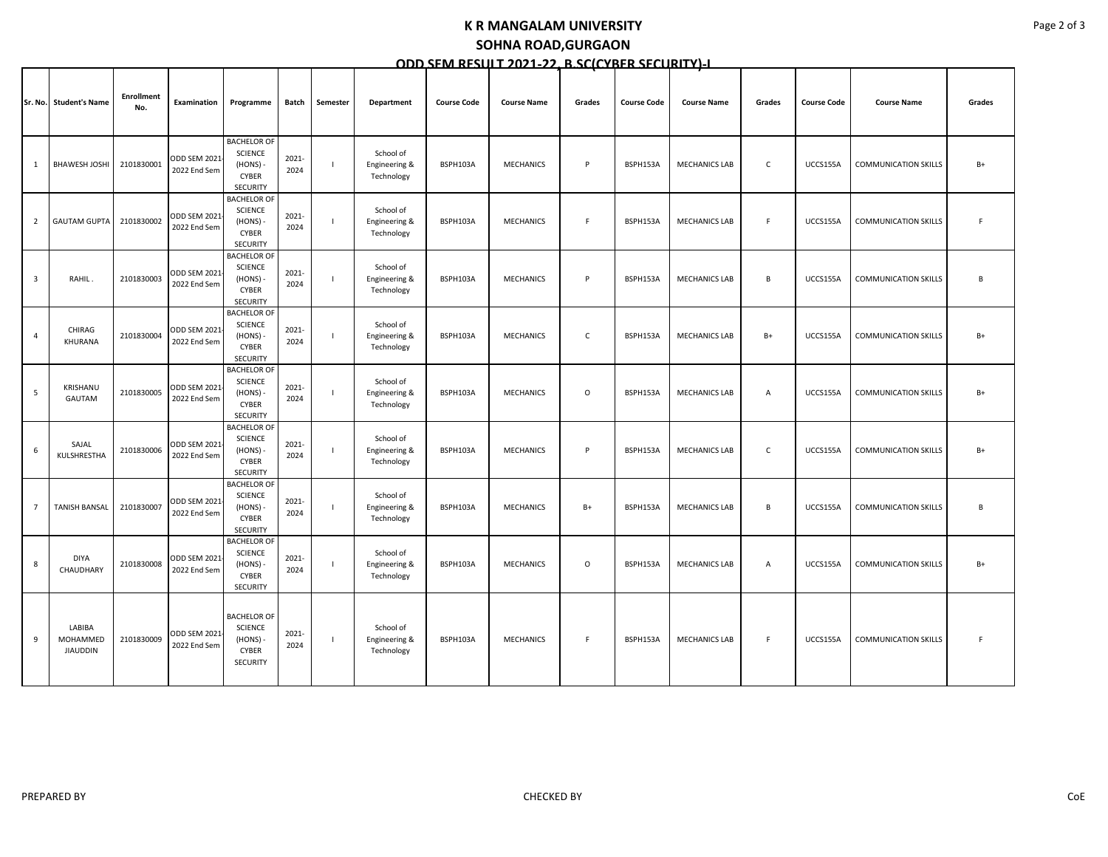#### **K R MANGALAM UNIVERSITY**

## **SOHNA ROAD,GURGAON**

|  | ODD SEM RESULT 2021-22. B.SC(CYBER SFCURITY)-I |  |  |  |
|--|------------------------------------------------|--|--|--|
|  |                                                |  |  |  |

|                |                                       |                          |                                     |                                                                                     |               |          |                                          |                    |                    |              | <u>JLN JLCJIN</u>  |                      |                |                    |                             |        |
|----------------|---------------------------------------|--------------------------|-------------------------------------|-------------------------------------------------------------------------------------|---------------|----------|------------------------------------------|--------------------|--------------------|--------------|--------------------|----------------------|----------------|--------------------|-----------------------------|--------|
|                | Sr. No. Student's Name                | <b>Enrollment</b><br>No. | Examination                         | Programme                                                                           | Batch         | Semester | Department                               | <b>Course Code</b> | <b>Course Name</b> | Grades       | <b>Course Code</b> | <b>Course Name</b>   | Grades         | <b>Course Code</b> | <b>Course Name</b>          | Grades |
| 1              | <b>BHAWESH JOSHI</b>                  | 2101830001               | <b>ODD SEM 2021</b><br>2022 End Sem | <b>BACHELOR OF</b><br><b>SCIENCE</b><br>(HONS) -<br><b>CYBER</b><br><b>SECURITY</b> | 2021-<br>2024 | -1       | School of<br>Engineering &<br>Technology | BSPH103A           | <b>MECHANICS</b>   | P            | BSPH153A           | <b>MECHANICS LAB</b> | $\mathsf{C}$   | UCCS155A           | <b>COMMUNICATION SKILLS</b> | $B+$   |
| $\overline{2}$ | <b>GAUTAM GUPTA</b>                   | 2101830002               | <b>ODD SEM 2021</b><br>2022 End Sem | <b>BACHELOR OF</b><br>SCIENCE<br>(HONS)<br><b>CYBER</b><br>SECURITY                 | 2021-<br>2024 |          | School of<br>Engineering &<br>Technology | BSPH103A           | <b>MECHANICS</b>   | F            | BSPH153A           | <b>MECHANICS LAB</b> | F.             | UCCS155A           | <b>COMMUNICATION SKILLS</b> | F      |
| $\overline{3}$ | RAHIL.                                | 2101830003               | ODD SEM 2021<br>2022 End Sem        | <b>BACHELOR OF</b><br><b>SCIENCE</b><br>(HONS)<br><b>CYBER</b><br>SECURITY          | 2021-<br>2024 |          | School of<br>Engineering &<br>Technology | BSPH103A           | <b>MECHANICS</b>   | P            | BSPH153A           | <b>MECHANICS LAB</b> | B              | UCCS155A           | <b>COMMUNICATION SKILLS</b> | B      |
| $\overline{a}$ | CHIRAG<br>KHURANA                     | 2101830004               | <b>ODD SEM 2021</b><br>2022 End Sem | <b>BACHELOR OF</b><br><b>SCIENCE</b><br>(HONS) -<br>CYBER<br>SECURITY               | 2021-<br>2024 |          | School of<br>Engineering &<br>Technology | BSPH103A           | <b>MECHANICS</b>   | $\mathsf{C}$ | BSPH153A           | <b>MECHANICS LAB</b> | $B+$           | UCCS155A           | <b>COMMUNICATION SKILLS</b> | $B+$   |
| 5              | KRISHANU<br>GAUTAM                    | 2101830005               | ODD SEM 2021<br>2022 End Sem        | <b>BACHELOR OF</b><br>SCIENCE<br>(HONS) -<br><b>CYBER</b><br>SECURITY               | 2021-<br>2024 |          | School of<br>Engineering &<br>Technology | BSPH103A           | <b>MECHANICS</b>   | $\circ$      | BSPH153A           | <b>MECHANICS LAB</b> | A              | UCCS155A           | <b>COMMUNICATION SKILLS</b> | $B+$   |
| 6              | SAJAL<br>KULSHRESTHA                  | 2101830006               | <b>ODD SEM 2021</b><br>2022 End Sem | <b>BACHELOR OF</b><br><b>SCIENCE</b><br>(HONS) -<br><b>CYBER</b><br><b>SECURITY</b> | 2021-<br>2024 |          | School of<br>Engineering &<br>Technology | BSPH103A           | <b>MECHANICS</b>   | P            | BSPH153A           | <b>MECHANICS LAB</b> | $\mathsf{C}$   | UCCS155A           | <b>COMMUNICATION SKILLS</b> | $B+$   |
| $\overline{7}$ | <b>TANISH BANSAL</b>                  | 2101830007               | <b>ODD SEM 2021</b><br>2022 End Sem | <b>BACHELOR OF</b><br><b>SCIENCE</b><br>(HONS) -<br><b>CYBER</b><br>SECURITY        | 2021-<br>2024 |          | School of<br>Engineering &<br>Technology | BSPH103A           | <b>MECHANICS</b>   | $B+$         | BSPH153A           | <b>MECHANICS LAB</b> | B              | UCCS155A           | <b>COMMUNICATION SKILLS</b> | B      |
| 8              | <b>DIYA</b><br>CHAUDHARY              | 2101830008               | <b>ODD SEM 2021</b><br>2022 End Sem | <b>BACHELOR OF</b><br>SCIENCE<br>(HONS)<br><b>CYBER</b><br>SECURITY                 | 2021-<br>2024 |          | School of<br>Engineering &<br>Technology | BSPH103A           | <b>MECHANICS</b>   | 0            | BSPH153A           | <b>MECHANICS LAB</b> | $\overline{A}$ | UCCS155A           | <b>COMMUNICATION SKILLS</b> | $B+$   |
| 9              | LABIBA<br>MOHAMMED<br><b>JIAUDDIN</b> | 2101830009               | <b>ODD SEM 2021</b><br>2022 End Sem | <b>BACHELOR OF</b><br><b>SCIENCE</b><br>(HONS) -<br><b>CYBER</b><br>SECURITY        | 2021-<br>2024 |          | School of<br>Engineering &<br>Technology | BSPH103A           | <b>MECHANICS</b>   | F            | BSPH153A           | <b>MECHANICS LAB</b> | F.             | UCCS155A           | <b>COMMUNICATION SKILLS</b> | F      |